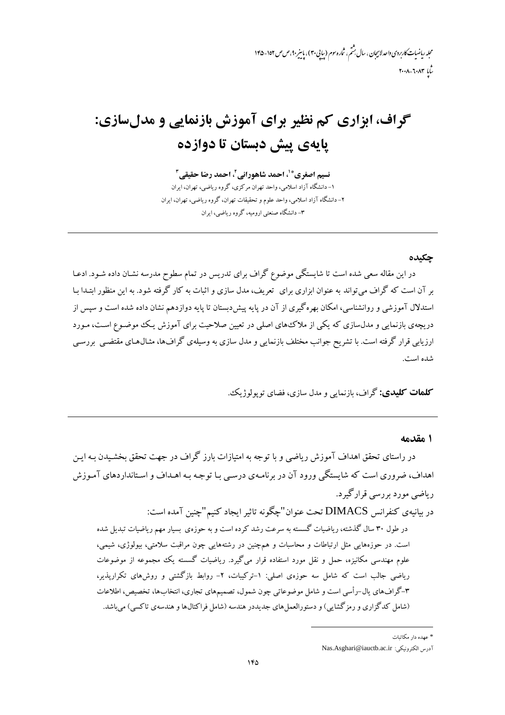محله رماضات کاربردی واحد لاسچان ، سال بهشم ، شاره سوم (سایی۳۰) ، باسر ۹۰، ص ص ۱۵۲-۱۴۵  $r \cdot \lambda - \lambda \cdot \lambda r$ 

# گراف، ابزاري کم نظير براي آموزش بازنمايي و مدلسازي: يايەي يىش دېستان تا دوازدە

نسيم اصغري® ْ، احمد شاهوراني ْ، احمد رضا حقيقي آ ۱- دانشگاه آزاد اسلامی، واحد تهران مرکزی، گروه ریاضی، تهران، ایران ۲- دانشگاه آزاد اسلامی، واحد علوم و تحقیقات تهران، گروه ریاضی، تهران، ایران ۳- دانشگاه صنعتی ارومبه، گروه ریاضی، ابران

#### حكىدە

در این مقاله سعی شده است تا شایستگی موضوع گراف برای تدریس در تمام سطوح مدرسه نشـان داده شـود. ادعـا بر آن است که گراف می تواند به عنوان ابزاری برای ً تعریف، مدل سازی و اثبات به کار گرفته شود. به این منظور ابتـدا بـا استدلال آموزشی و روانشناسی، امکان بهرهگیری از آن در پایه پیش دبستان تا پایه دوازدهم نشان داده شده است و سپس از دریچهی بازنمایی و مدلسازی که یکی از ملاک۵های اصلی در تعیین صلاحیت برای آموزش یک موضـوع اسـت، مـورد ارزیابی قرار گرفته است. با تشریح جوانب مختلف بازنمایی و مدل سازی به وسیلهی گرافها، مثـال۵حای مقتضـی بررسـی شده است.

**کلمات کليدي:** گراف، بازنمايي و مدل سازي، فضاي تو بولوژيکي.

#### ۱ مقدمه

در راستای تحقق اهداف آموزش ریاضی و با توجه به امتیازات بارز گراف در جهت تحقق بخشـیدن بـه ایـن اهداف، ضروری است که شایستگی ورود آن در برنامـهی درسـی بـا توجـه بـه اهــداف و اسـتانداردهای آمـوزش ریاضی مورد پررسی قرار گیرد.

در بيانيهي كنفرانس DIMACS تحت عنوان"چگونه تاثير ايجاد كنيم"چنين آمده است:

در طول ۳۰ سال گذشته، ریاضیات گسسته به سرعت رشد کرده است و به حوزهی بسیار مهم ریاضیات تبدیل شده است. در حوزههایی مثل ارتباطات و محاسبات و همچنین در رشتههایی چون مراقبت سلامتی، بیولوژی، شیمی، علوم مهندسی مکانیزه، حمل و نقل مورد استفاده قرار می گیرد. ریاضیات گسسته یک مجموعه از موضوعات ریاضی جالب است که شامل سه حوزهی اصلی: ۱-ترکیبات، ۲- روابط بازگشتی و روشهای تکراریذیر، ۳-گرافهای پال-رأسی است و شامل موضوعاتی چون شمول، تصمیمهای تجاری، انتخابها، تخصیص، اطلاعات (شامل کدگزاری و رمزگشایی) و دستورالعمل های جدیددر هندسه (شامل فراکتالها و هندسهی تاکسی) می باشد.

<sup>\*</sup> عهده دار مکاتبات

آدرس الكترونيكي: Nas.Asghari@iauctb.ac.ir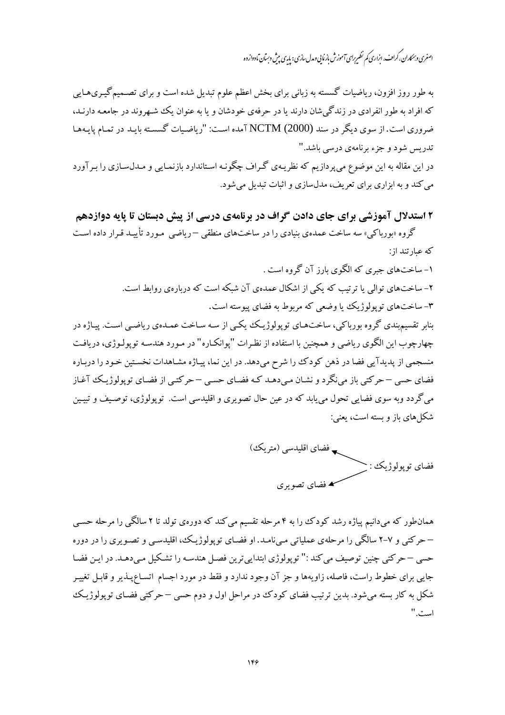اصغری و بمکاران، کراف، ابزاری کم نظیرِ برای آموزش باز مایی و مدل سازی : پایی پیش دسان مادواز دو

به طور روز افزون، ریاضیات گسسته به زبانی برای بخش اعظم علوم تبدیل شده است و برای تصـمیم گیـریهـایی که افراد به طور انفرادی در زندگے شان دارند یا در حرفهی خودشان و یا به عنوان یک شبهروند در جامعـه دارنـد، ضروری است. از سوی دیگر در سند (NCTM (2000) آمده است: "ریاضیات گسسته بایـد در تمیام پایـههیا تدريس شود و جزء برنامهي درسي باشد."

در این مقاله به این موضوع میپردازیم که نظریـهی گـراف چگونـه اسـتاندارد بازنمـایی و مـدلسـازی را بـر آورد می کند و به ابزاری برای تعریف، مدلسازی و اثبات تبدیل می شود.

۲ استدلال آموزشی برای جای دادن گراف در برنامهی درسی از پیش دبستان تا پایه دوازدهم

گروه «بورباکی» سه ساخت عمدهی بنیادی را در ساختهای منطقی –ریاضی مـورد تأییـد قـرار داده اسـت که عبارتند از:

> ۱- ساختهای جبری که الگوی بارز آن گروه است . ۲– ساختهای توالی یا ترتیب که یکی از اشکال عمدهی آن شبکه است که دربارهی روابط است. ۳- ساختهای توپولوژیک یا وضعی که مربوط به فضای پیوسته است.

بنابر تقسیمبندی گروه بورباکی، ساختهـای توپولوژیـک یکـی از سـه سـاخت عمـدهی ریاضـی اسـت. پیـاژه در چهارچوب این الگوی ریاضی و همچنین با استفاده از نظرات "پوانکـاره" در مـورد هندسـه توپولـوژی، دریافـت منسجمی از پدیدآیی فضا در ذهن کودک را شرح میدهد. در این نما، پیـاژه مشـاهدات نخسـتین خـود را دربـاره فضای حسی – حرکتی باز می نگرد و نشـان مـی دهـد کـه فضـای حسـی – حرکتـی از فضـای توپولوژيـک آغـاز مي گردد وبه سوي فضايي تحول مي يابد كه در عين حال تصويري و اقليدسي است. توپولوژي، توصيف و تبيـين شکل های باز و بسته است، یعنی:

ے فضای اقلیدسی (متریک) فضاي توپولوژيک : ▲ فضای تصویری

همانطور که میدانیم پیاژه رشد کودک را به ۴ مرحله تقسیم می کند که دورهی تولد تا ۲ سالگی را مرحله حسبی – حرکتبی و ۷–۲ سالگی را مرحلهی عملیاتی می;نامـد. او فضـای توپولوژیـک، اقلیدسـی و تصـویری را در دوره حسي – حركتي چنين توصيف مي كند :" توپولوژي ابتدايي ترين فصـل هندسـه را تشـكيل مـي،دهـد. در ايـن فضـا جایی برای خطوط راست، فاصله، زاویهها و جز آن وجود ندارد و فقط در مورد اجسام اتسـاع،پـذیر و قابـل تغییـر شکل به کار بسته میشود. بدین ترتیب فضای کودک در مراحل اول و دوم حسی –حرکتی فضـای توپولوژیـک است."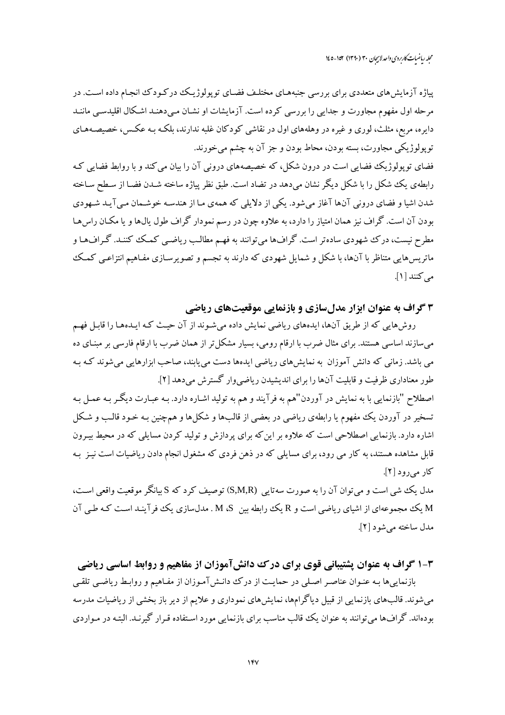محله رماضات کاربردی واحد لاسچان ۳۰ (۱۳۹۰) ۱۵۲-۱٤۵

پیاژه آزمایش های متعددی برای بررسی جنبههـای مختلـف فضـای توپولوژیـک در کـودک انجـام داده اسـت. در مرحله اول مفهوم مجاورت و جدایی را بررسی کرده است. آزمایشات او نشـان مـی دهنـد اشـکال اقلیدسـی ماننـد دایره، مربع، مثلث، لوری و غیره در وهلههای اول در نقاشی کودکان غلبه ندارند، بلکـه بـه عکـس، خصیصـههـای توپولوژيکي مجاورت، بسته بودن، محاط بودن و جز آن به چشم مي خورند.

فضای توپولوژیک فضایی است در درون شکل، که خصیصههای درونی آن را بیان می کند و با روابط فضایی ک رابطهی یک شکل را با شکل دیگر نشان میدهد در تضاد است. طبق نظر پیاژه ساخته شـدن فضـا از سـطح سـاخته شدن اشیا و فضای درونی آنها آغاز می شود. یکی از دلایلی که همهی مـا از هندسـه خوشـمان مـی آیـد شـهودی بودن آن است. گراف نیز همان امتیاز را دارد، به علاوه چون در رسم نمودار گراف طول یال&ا و یا مکـان راس۵هـا مطرح نیست، درک شهودی سادهتر است. گرافها می توانند به فهم مطالب ریاضی کمک کننـد. گـرافهـا و ماتریسهایی متناظر با آنها، با شکل و شمایل شهودی که دارند به تجسم و تصویرسـازی مفـاهیم انتزاعـی کمـک مه کنند [۱].

## ۳ گراف به عنوان ابزار مدلسازی و بازنمایی موقعیتهای ریاضی

روشهایی که از طریق آنها، ایدههای ریاضی نمایش داده میشوند از آن حیث که ایـدههـا را قابـل فهـم می سازند اساسی هستند. برای مثال ضرب با ارقام رومی، بسیار مشکل تر از همان ضرب با ارقام فارسی بر مبنـای ده می باشد. زمانی که دانش آموزان به نمایشهای ریاضی ایدهها دست می یابند، صاحب ابزارهایی میشوند کـه بـه طور معناداری ظرفیت و قابلیت آنها را برای اندیشیدن ریاضی وار گسترش میدهد [۲]. اصطلاح "بازنمايي با به نمايش در آوردن"هم به فرآيند و هم به توليد اشـاره دارد. بـه عبـارت ديگـر بـه عمـل بـه تسخیر در آوردن یک مفهوم یا رابطهی ریاضی در بعضی از قالبها و شکلها و همچنین بـه خـود قالـب و شـکل اشاره دارد. بازنمایی اصطلاحی است که علاوه بر این که برای پردازش و تولید کردن مسایلی که در محیط بیـرون قابل مشاهده هستند، به کار می رود، برای مسایلی که در ذهن فردی که مشغول انجام دادن ریاضیات است نیـز بـه کار می رود [۲].

مدل یک شی است و می توان آن را به صورت سه تایی (S,M,R) توصیف کرد که S بیانگر موقعیت واقعی است، M یک مجموعهای از اشبای ریاضی است و R یک رابطه بین M ،S . مدل سازی یک فر آینـد اسـت کـه طـی آن مدل ساخته می شو د [۲].

### ۱-۳ گراف به عنوان یشتیبانی قوی برای درک دانشآموزان از مفاهیم و روابط اساسی ریاضی

بازنمایی ها بـه عنـوان عناصـر اصـلی در حمایـت از درک ددانـش آمـوزان از مفـاهیم و روابـط ریاضـی تلقـی می شوند. قالبهای بازنمایی از قبیل دیاگرامها، نمایشهای نموداری و علایم از دیر باز بخشی از ریاضیات مدرسه بودهاند. گرافها می توانند به عنوان یک قالب مناسب برای بازنمایی مورد استفاده قـرار گیرنـد. البتـه در مـواردی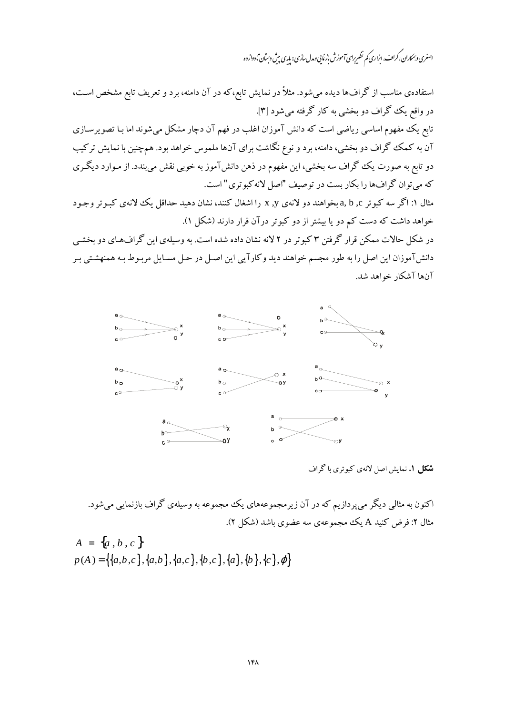اصغری و بمکاران، کراٹ، ابزاری کم نظیرِ رای آموزش بازنایی ومدل سازی : پایہ ی بیش دسان مادواز دہ

استفادهی مناسب از گرافها دیده میشود. مثلاً در نمایش تابع،که در آن دامنه، برد و تعریف تابع مشخص است، در واقع يک گراف دو بخشي به کار گرفته مي شود [۳]. ۔<br>تابع یک مفهوم اساسی ریاضی است که دانش آموزان اغلب در فهم آن دچار مشکل می شوند اما بـا تصویر سـازی آن به کمک گراف دو بخشی، دامنه، برد و نوع نگاشت برای آنها ملموس خواهد بود. همچنین با نمایش ترکیب دو تابع به صورت یک گراف سه بخشی، این مفهوم در ذهن دانشآموز به خوبی نقش میبندد. از مـوارد دیگـری که می توان گرافها را بکار بست در توصیف "اصل لانه کبوتری" است. مثال ۱: اگر سه کبوتر a, b ,c بخواهند دو لانهی x ,y را اشغال کنند، نشان دهید حداقل یک لانهی کبـوتر وجـود خواهد داشت که دست کم دو یا بیشتر از دو کبوتر درآن قرار دارند (شکل ۱).

در شکل حالات ممکن قرار گرفتن ۳ کبوتر در ۲ لانه نشان داده شده است. به وسیلهی این گرافهای دو بخشبی دانشآموزان اين اصل را به طور مجسم خواهند ديد وكارآيي اين اصل در حل مسـايل مربـوط بـه همنهشـتي بـر آنها آشکار خواهد شد.



**شکل ۱.** نمایش اصل لانهی کبوتری با گراف

اکنون به مثالی دیگر می پردازیم که در آن زیرمجموعههای یک مجموعه به وسیلهی گراف بازنمایی می شود. مثال ۲: فرض کنید A یک مجموعهی سه عضوی باشد (شکل ۲).

$$
A = \{a, b, c\}
$$
  

$$
p(A) = \{\{a,b,c\}, \{a,b\}, \{a,c\}, \{b,c\}, \{a\}, \{b\}, \{c\}, \varphi\}
$$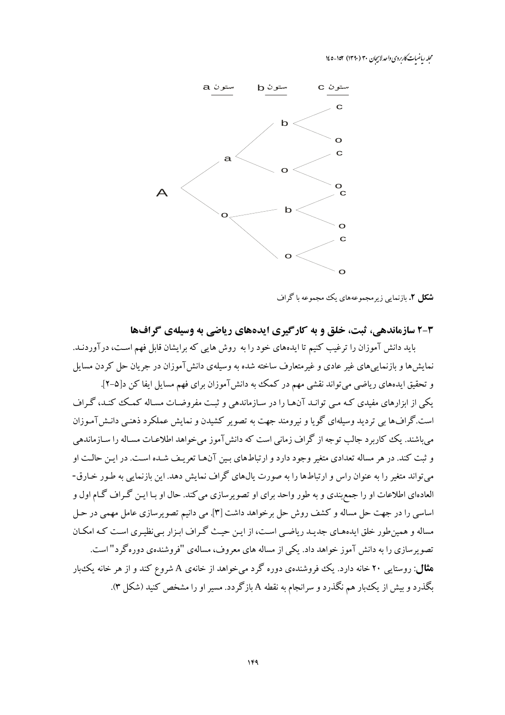محله رماضیات کاربردی واحد لاہیجان ۳۰ (۱۳۹۰) ۱۷۴–۱٤۵



**شکل ۲.** بازنمایی زیرمجموعههای یک مجموعه با گراف

۳-۲ سازماندهی، ثبت، خلق و به کارگیری ایدههای ریاضی به وسیلهی گرافها باید دانش آموزان را ترغیب کنیم تا ایدههای خود را به روش هایی که برایشان قابل فهم است، درآوردنـد. نمایشها و بازنماییهای غیر عادی و غیرمتعارف ساخته شده به وسیلهی دانش آموزان در جریان حل کردن مسایل

و تحقیق ایدههای ریاضی می تواند نقشی مهم در کمک به دانش آموزان برای فهم مسایل ایفا کن د[۵-۲]. یکی از ابزارهای مفیدی کـه مـی توانـد آنهـا را در سـازماندهی و ثبـت مفروضـات مسـاله کمـک کنـد، گـراف است.گرافها بی تردید وسیلهای گویا و نیرومند جهت به تصویر کشیدن و نمایش عملکرد ذهنبی دانـش(آمـوزان می باشند. یک کاربرد جالب توجه از گراف زمانی است که دانش آموز می خواهد اطلاعـات مسـاله را سـازماندهی و ثبت کند. در هر مساله تعدادی متغیر وجود دارد و ارتباطهای بـین آنهـا تعریـف شـده اسـت. در ایـن حالـت او می تواند متغیر را به عنوان راس و ارتباطها را به صورت پال،های گراف نمایش دهد. این بازنمایی به طـور خـارق-العادهای اطلاعات او را جمع بندی و به طور واحد برای او تصویرسازی می کند. حال او بـا ایـن گـراف گـام اول و اساسی را در جهت حل مساله و کشف روش حل برخواهد داشت [۳]. می دانیم تصویرسازی عامل مهمی در حـل مساله و همین طور خلق ایدههـای جدیـد ریاضـی اسـت، از ایـن حیـث گـراف ابـزار بـی نظیـری اسـت کـه امکـان تصویرسازی را به دانش آموز خواهد داد. یکی از مساله های معروف، مسالهی "فروشندهی دوره گرد" است. **شال**: روستایی ۲۰ خانه دارد. یک فروشندهی دوره گرد میخواهد از خانهی A شروع کند و از هر خانه یک بار بگذرد و بیش از یک بار هم نگذرد و سرانجام به نقطه A بازگردد. مسیر او را مشخص کنید (شکل ۳).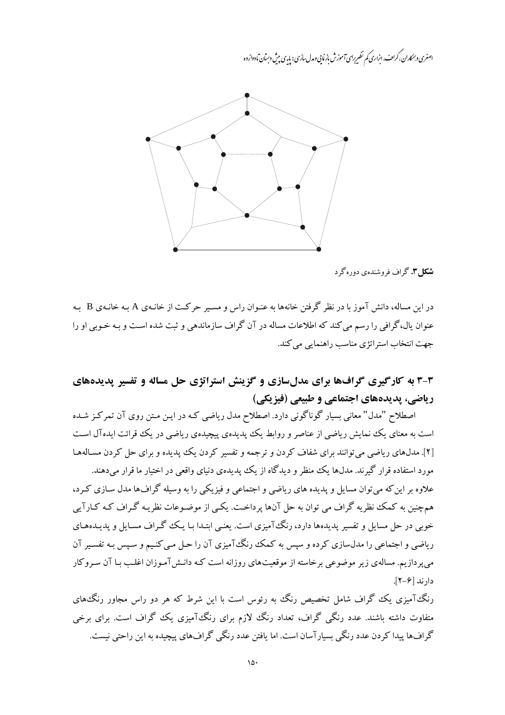اصغری و بمکاران، کراف، ابزاری کم نظیرِ برای آموزش باز مایی و مدل سازی : پایی پیش دسان مادواز دو



**شکل۳.** گراف فروشندهی دورهگرد

در این مساله، دانش آموز با در نظر گرفتن خانهها به عنـوان راس و مسـیر حرکـت از خانـهی A بـه خانـهی B بـه عنوان پال،گرافی را رسم می کند که اطلاعات مساله در آن گراف سازماندهی و ثبت شده است و بـه خـوبی او را جهت انتخاب استراتژي مناسب راهنمايي مي كند.

## ۳-۳ به کارگیری گرافها برای مدلسازی و گزینش استراتژی حل مساله و تفسیر پدیدههای ریاضی، پدیدههای اجتماعی و طبیعی (فیزیکی)

اصطلاح "مدل" معانی بسیار گوناگونی دارد. اصطلاح مدل ریاضی کـه در ایـن مـتن روی آن تمرکـز شـده است به معنای یک نمایش ریاضی از عناصر و روابط یک پدیدهی پیچیدهی ریاضی در یک قوائت ایدهآل است [۲]. مدلهای ریاضی می توانند برای شفاف کردن و ترجمه و تفسیر کردن یک پدیده و برای حل کردن مسـالههـا مورد استفاده قرار گیرند. مدلها یک منظر و دیدگاه از یک پدیدهی دنیای واقعی در اختیار ما قرار می دهند. علاوه بر این که می توان مسایل و پدیده های ریاضی و اجتماعی و فیزیکی را به وسیله گرافها مدل سـازی کـرد، همچنین به کمک نظریه گراف می توان به حل آنها پرداخت. یکسی از موضـوعات نظریـه گـراف کـه کـارآیی خوبی در حل مسایل و تفسیر پدیدهها دارد، رنگ آمیزی است. یعنـی ابتـدا بـا یـک گـراف مسـایل و پدیـدههـای ریاضی و اجتماعی را مدل سازی کرده و سپس به کمک رنگTمیزی آن را حـل مـی کنـیـم و سـیس بـه تفسـیر آن می پردازیم. مسالهی زیر موضوعی برخاسته از موقعیتهای روزانه است کـه دانـش آمـوزان اغلـب بـا آن سـروکار دار ند [۶–۲].

رنگ آمیزی یک گراف شامل تخصیص رنگ به رئوس است با این شرط که هر دو راس مجاور رنگ های متفاوت داشته باشند. عدد رنگی گراف، تعداد رنگ لازم برای رنگTآمیزی یک گراف است. برای برخی گرافها پیدا کردن عدد رنگی بسیارآسان است. اما یافتن عدد رنگی گرافهای پیچیده به این راحتی نیست.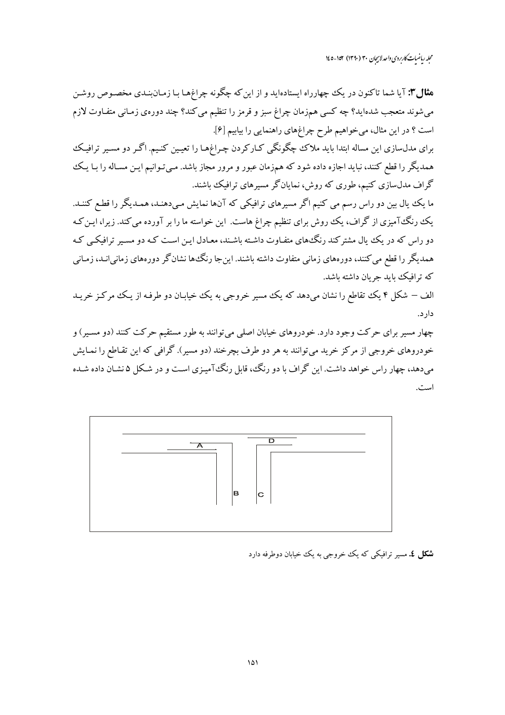محله رماضات کاربردی واحد لاسچان ۳۰ (۱۳۹۰) ۱۵۲-۱٤۵

**مثال":** آیا شما تاکنون در یک چهارراه ایستادهاید و از این که چگونه چراغهـا بـا زمـان بنـدی مخصـوص روشـن می شوند متعجب شدهاید؟ چه کسی همزمان چراغ سبز و قرمز را تنظیم می کند؟ چند دورهی زمـانی متفـاوت لازم است ؟ در این مثال، میخواهیم طرح چراغهای راهنمایی را بیابیم [۶].

برای مدلسازی این مساله ابتدا باید ملاک چگونگی کـارکردن چـراغهـا را تعیـین کنـیـم. اگـر دو مسـیر ترافیـک همدیگر را قطع کنند، نباید اجازه داده شود که همزمان عبور و مرور مجاز باشد. مـیتـوانیم ایـن مسـاله را بـا یـک گراف مدلسازی کنیم، طوری که روش، نمایانگر مسیرهای ترافیک باشند.

ما یک یال بین دو راس رسم می کنیم اگر مسیرهای ترافیکی که آنها نمایش مـیدهنـد، همـدیگر را قطـع کننـد. یک رنگ آمیزی از گراف، یک روش برای تنظیم چراغ هاست. این خواسته ما را بر آورده می کند. زیرا، ایـن کـه دو راس که در یک ییال مشترکند رنگ های متفـاوت داشـته باشـند، معـادل ایـن اسـت کـه دو مسـیر ترافیکـی کـه همدیگر را قطع می کنند، دورههای زمانی متفاوت داشته باشند. این جا رنگ۵ها نشانگر دورههای زمانی انـد، زمـانی که ترافیک باید جریان داشته باشد.

الف – شکل ۴ یک تقاطع را نشان میدهد که یک مسیر خروجی به یک خیابـان دو طرفـه از یـک مرکـز خریــد دار د.

چهار مسیر برای حرکت وجود دارد. خودروهای خیابان اصلی میتوانند به طور مستقیم حرکت کنند (دو مسـیر) و خودروهای خروجی از مرکز خرید میتوانند به هر دو طرف بچرخند (دو مسیر). گرافی که این تقـاطع را نمـایش میدهد، چهار راس خواهد داشت. این گراف با دو رنگ، قابل رنگ آمیـزی اسـت و در شـکل ۵ نشـان داده شـده است.



**شکل ٤.** مسیر ترافیکی که یک خروجی به یک خیابان دوطرفه دارد